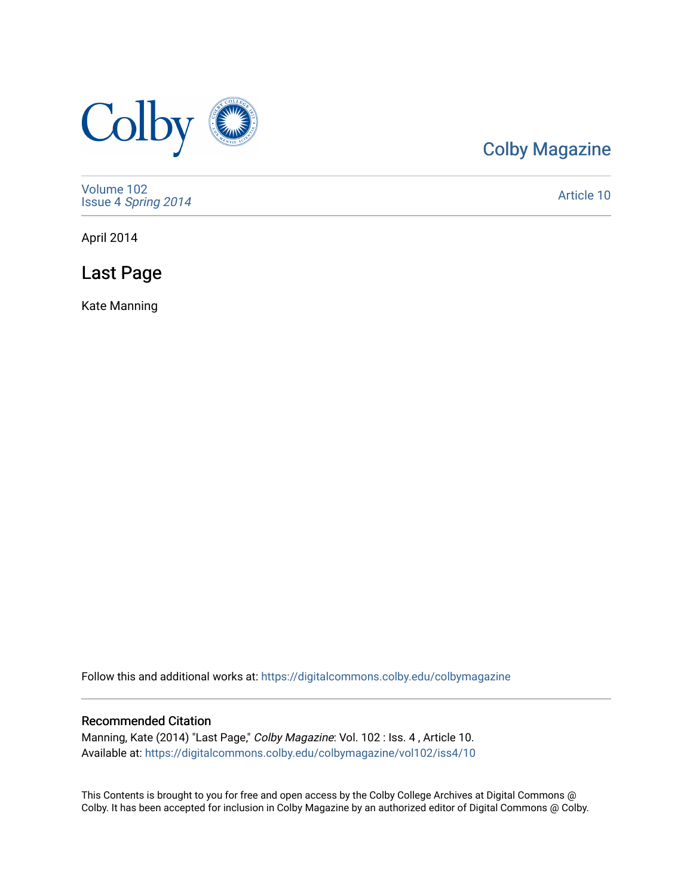

## [Colby Magazine](https://digitalcommons.colby.edu/colbymagazine)

[Volume 102](https://digitalcommons.colby.edu/colbymagazine/vol102) Issue 4 [Spring 2014](https://digitalcommons.colby.edu/colbymagazine/vol102/iss4) 

[Article 10](https://digitalcommons.colby.edu/colbymagazine/vol102/iss4/10) 

April 2014

Last Page

Kate Manning

Follow this and additional works at: [https://digitalcommons.colby.edu/colbymagazine](https://digitalcommons.colby.edu/colbymagazine?utm_source=digitalcommons.colby.edu%2Fcolbymagazine%2Fvol102%2Fiss4%2F10&utm_medium=PDF&utm_campaign=PDFCoverPages)

## Recommended Citation

Manning, Kate (2014) "Last Page," Colby Magazine: Vol. 102 : Iss. 4 , Article 10. Available at: [https://digitalcommons.colby.edu/colbymagazine/vol102/iss4/10](https://digitalcommons.colby.edu/colbymagazine/vol102/iss4/10?utm_source=digitalcommons.colby.edu%2Fcolbymagazine%2Fvol102%2Fiss4%2F10&utm_medium=PDF&utm_campaign=PDFCoverPages)

This Contents is brought to you for free and open access by the Colby College Archives at Digital Commons @ Colby. It has been accepted for inclusion in Colby Magazine by an authorized editor of Digital Commons @ Colby.